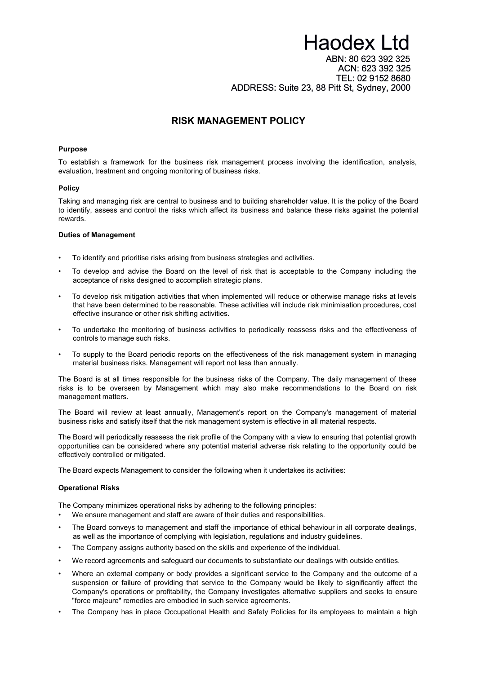# **Haodex Ltd** ABN: 80 623 392 325 ACN: 623 392 325 TEL: 02 9152 8680 ADDRESS: Suite 23, 88 Pitt St, Sydney, 2000

## **RISK MANAGEMENT POLICY**

#### **Purpose**

To establish a framework for the business risk management process involving the identification, analysis, evaluation, treatment and ongoing monitoring of business risks.

#### **Policy**

Taking and managing risk are central to business and to building shareholder value. It is the policy of the Board to identify, assess and control the risks which affect its business and balance these risks against the potential rewards.

#### **Duties of Management**

- To identify and prioritise risks arising from business strategies and activities.
- To develop and advise the Board on the level of risk that is acceptable to the Company including the acceptance of risks designed to accomplish strategic plans.
- To develop risk mitigation activities that when implemented will reduce or otherwise manage risks at levels that have been determined to be reasonable. These activities will include risk minimisation procedures, cost effective insurance or other risk shifting activities.
- To undertake the monitoring of business activities to periodically reassess risks and the effectiveness of controls to manage such risks.
- To supply to the Board periodic reports on the effectiveness of the risk management system in managing material business risks. Management will report not less than annually.

The Board is at all times responsible for the business risks of the Company. The daily management of these risks is to be overseen by Management which may also make recommendations to the Board on risk management matters.

The Board will review at least annually, Management's report on the Company's management of material business risks and satisfy itself that the risk management system is effective in all material respects.

The Board will periodically reassess the risk profile of the Company with a view to ensuring that potential growth opportunities can be considered where any potential material adverse risk relating to the opportunity could be effectively controlled or mitigated.

The Board expects Management to consider the following when it undertakes its activities:

#### **Operational Risks**

The Company minimizes operational risks by adhering to the following principles:

- We ensure management and staff are aware of their duties and responsibilities.
- The Board conveys to management and staff the importance of ethical behaviour in all corporate dealings, as well as the importance of complying with legislation, regulations and industry guidelines.
- The Company assigns authority based on the skills and experience of the individual.
- We record agreements and safeguard our documents to substantiate our dealings with outside entities.
- Where an external company or body provides a significant service to the Company and the outcome of a suspension or failure of providing that service to the Company would be likely to significantly affect the Company's operations or profitability, the Company investigates alternative suppliers and seeks to ensure "force majeure" remedies are embodied in such service agreements.
- The Company has in place Occupational Health and Safety Policies for its employees to maintain a high